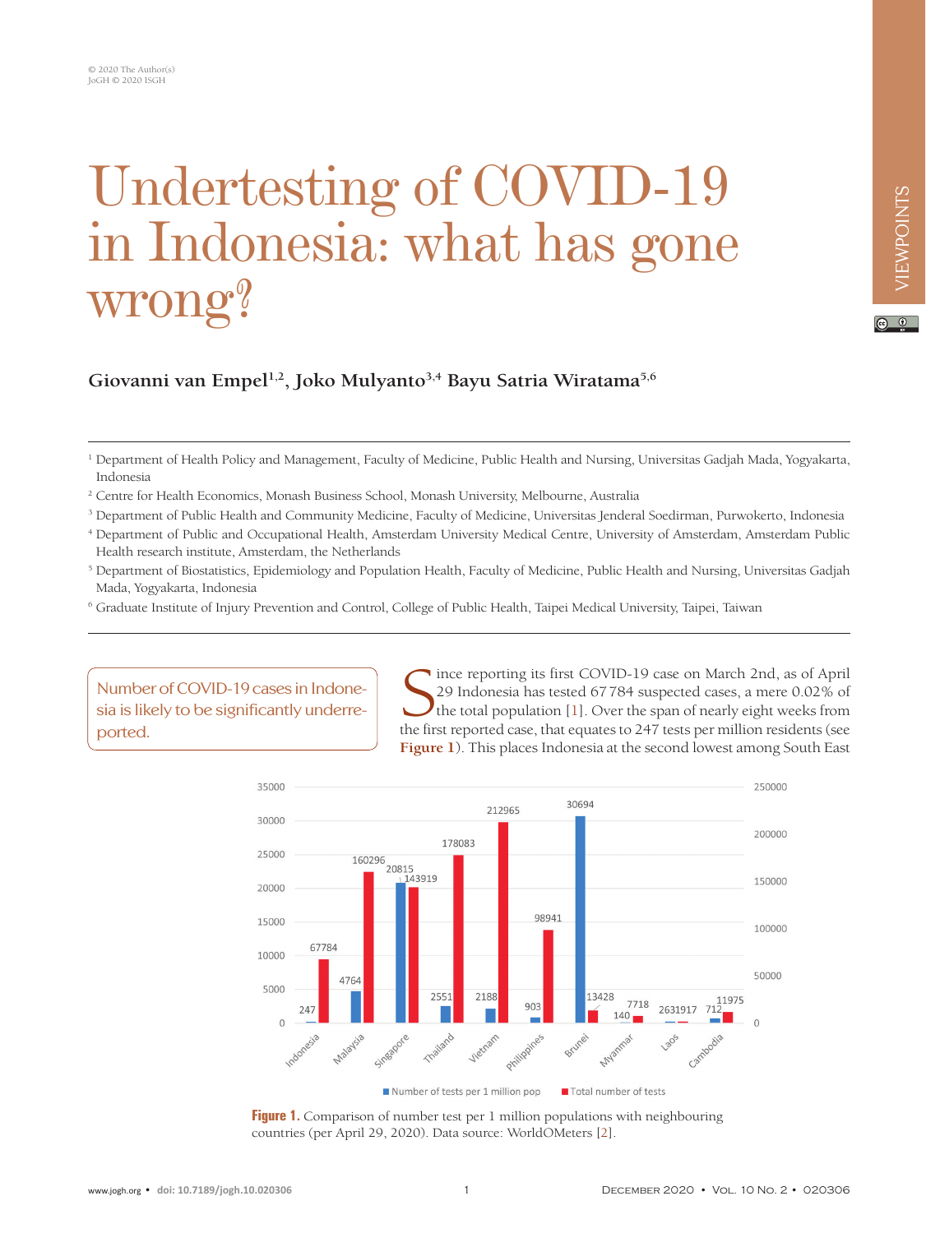# Undertesting of COVID-19 in Indonesia: what has gone wrong?

## VIEWPOINTS VIEWPOINTS

#### $\circ$   $\circ$

### **Giovanni van Empel1,2, Joko Mulyanto3,4 Bayu Satria Wiratama5,6**

- 3 Department of Public Health and Community Medicine, Faculty of Medicine, Universitas Jenderal Soedirman, Purwokerto, Indonesia
- <sup>4</sup> Department of Public and Occupational Health, Amsterdam University Medical Centre, University of Amsterdam, Amsterdam Public Health research institute, Amsterdam, the Netherlands
- <sup>5</sup> Department of Biostatistics, Epidemiology and Population Health, Faculty of Medicine, Public Health and Nursing, Universitas Gadjah Mada, Yogyakarta, Indonesia
- 6 Graduate Institute of Injury Prevention and Control, College of Public Health, Taipei Medical University, Taipei, Taiwan

Number of COVID-19 cases in Indonesia is likely to be significantly underreported.

Since reporting its first COVID-19 case on March 2nd, as of April 29 Indonesia has tested 67784 suspected cases, a mere 0.02% of the total population [1]. Over the span of nearly eight weeks from the first reported case, t ince reporting its first COVID-19 case on March 2nd, as of April 29 Indonesia has tested 67784 suspected cases, a mere 0.02% of the total population  $[1]$  $[1]$ . Over the span of nearly eight weeks from **[Figure 1](#page-0-0)**). This places Indonesia at the second lowest among South East

<span id="page-0-0"></span>

**Figure 1.** Comparison of number test per 1 million populations with neighbouring countries (per April 29, 2020). Data source: WorldOMeters [\[2](#page-2-1)].

<sup>&</sup>lt;sup>1</sup> Department of Health Policy and Management, Faculty of Medicine, Public Health and Nursing, Universitas Gadjah Mada, Yogyakarta, Indonesia

<sup>2</sup> Centre for Health Economics, Monash Business School, Monash University, Melbourne, Australia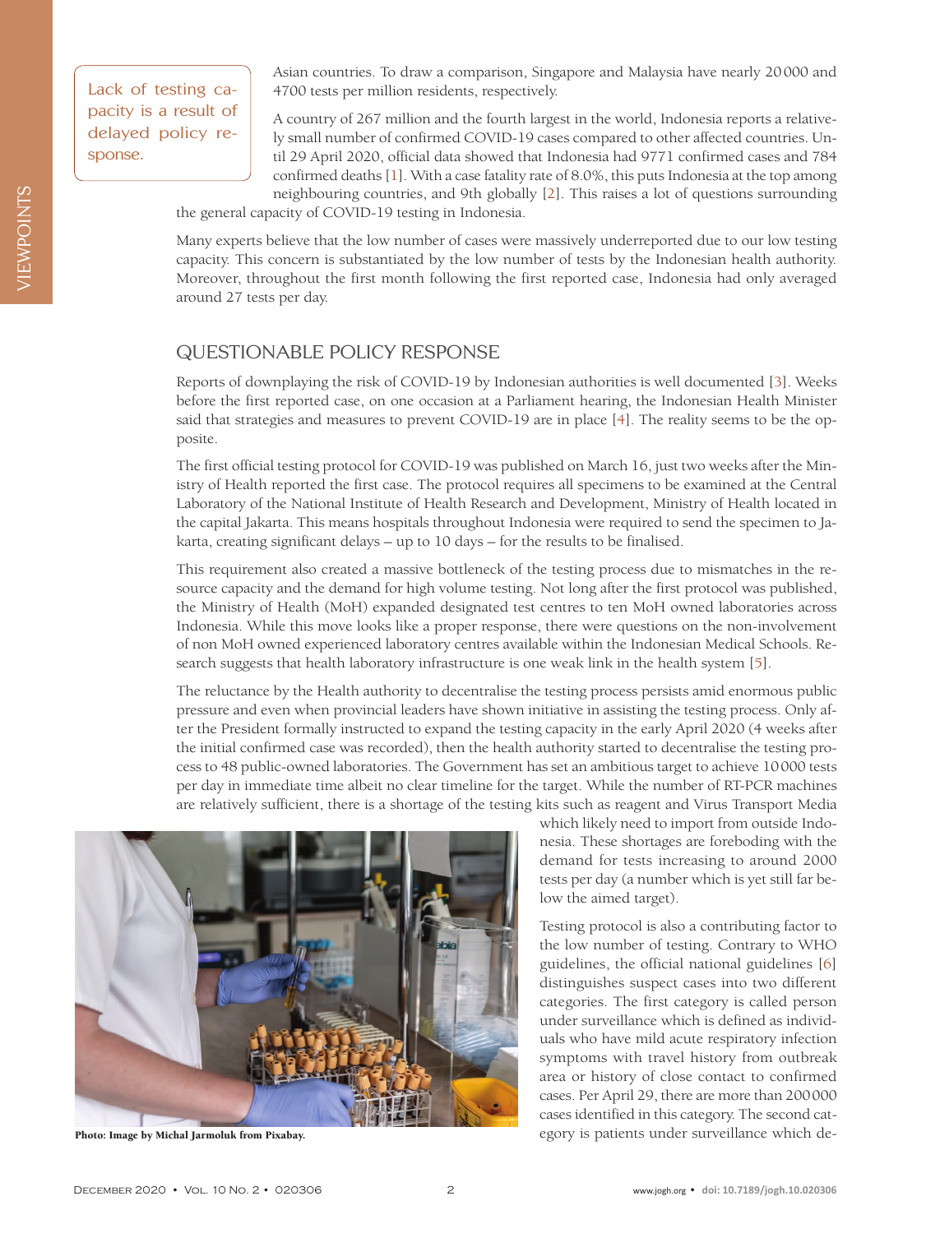Lack of testing capacity is a result of delayed policy response.

Asian countries. To draw a comparison, Singapore and Malaysia have nearly 20000 and 4700 tests per million residents, respectively.

A country of 267 million and the fourth largest in the world, Indonesia reports a relatively small number of confirmed COVID-19 cases compared to other affected countries. Until 29 April 2020, official data showed that Indonesia had 9771 confirmed cases and 784 confirmed deaths [\[1](#page-2-0)]. With a case fatality rate of 8.0%, this puts Indonesia at the top among neighbouring countries, and 9th globally [\[2](#page-2-1)]. This raises a lot of questions surrounding

the general capacity of COVID-19 testing in Indonesia.

Many experts believe that the low number of cases were massively underreported due to our low testing capacity. This concern is substantiated by the low number of tests by the Indonesian health authority. Moreover, throughout the first month following the first reported case, Indonesia had only averaged around 27 tests per day.

#### QUESTIONABLE POLICY RESPONSE

Reports of downplaying the risk of COVID-19 by Indonesian authorities is well documented [[3](#page-2-2)]. Weeks before the first reported case, on one occasion at a Parliament hearing, the Indonesian Health Minister said that strategies and measures to prevent COVID-19 are in place [\[4](#page-2-3)]. The reality seems to be the opposite.

The first official testing protocol for COVID-19 was published on March 16, just two weeks after the Ministry of Health reported the first case. The protocol requires all specimens to be examined at the Central Laboratory of the National Institute of Health Research and Development, Ministry of Health located in the capital Jakarta. This means hospitals throughout Indonesia were required to send the specimen to Jakarta, creating significant delays – up to 10 days – for the results to be finalised.

This requirement also created a massive bottleneck of the testing process due to mismatches in the resource capacity and the demand for high volume testing. Not long after the first protocol was published, the Ministry of Health (MoH) expanded designated test centres to ten MoH owned laboratories across Indonesia. While this move looks like a proper response, there were questions on the non-involvement of non MoH owned experienced laboratory centres available within the Indonesian Medical Schools. Research suggests that health laboratory infrastructure is one weak link in the health system [\[5\]](#page-2-4).

The reluctance by the Health authority to decentralise the testing process persists amid enormous public pressure and even when provincial leaders have shown initiative in assisting the testing process. Only after the President formally instructed to expand the testing capacity in the early April 2020 (4 weeks after the initial confirmed case was recorded), then the health authority started to decentralise the testing process to 48 public-owned laboratories. The Government has set an ambitious target to achieve 10000 tests per day in immediate time albeit no clear timeline for the target. While the number of RT-PCR machines are relatively sufficient, there is a shortage of the testing kits such as reagent and Virus Transport Media



Photo: Image by [Michal Jarmoluk](https://pixabay.com/users/jarmoluk-143740/?utm_source=link-attribution&utm_medium=referral&utm_campaign=image&utm_content=2815631) from [Pixabay.](utm_source=link-attribution&utm_medium=referral&utm_campaign=image&utm_content=2815631)

which likely need to import from outside Indonesia. These shortages are foreboding with the demand for tests increasing to around 2000 tests per day (a number which is yet still far below the aimed target).

Testing protocol is also a contributing factor to the low number of testing. Contrary to WHO guidelines, the official national guidelines [[6](#page-2-5)] distinguishes suspect cases into two different categories. The first category is called person under surveillance which is defined as individuals who have mild acute respiratory infection symptoms with travel history from outbreak area or history of close contact to confirmed cases. Per April 29, there are more than 200000 cases identified in this category. The second category is patients under surveillance which de-